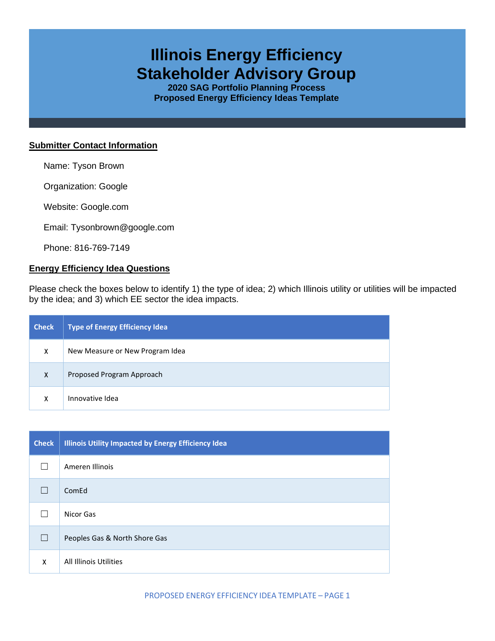# **Illinois Energy Efficiency Stakeholder Advisory Group**

**2020 SAG Portfolio Planning Process Proposed Energy Efficiency Ideas Template**

#### **Submitter Contact Information**

Name: Tyson Brown

Organization: Google

Website: Google.com

Email: Tysonbrown@google.com

Phone: 816-769-7149

#### **Energy Efficiency Idea Questions**

Please check the boxes below to identify 1) the type of idea; 2) which Illinois utility or utilities will be impacted by the idea; and 3) which EE sector the idea impacts.

| <b>Check</b> | <b>Type of Energy Efficiency Idea</b> |
|--------------|---------------------------------------|
| X            | New Measure or New Program Idea       |
| X            | Proposed Program Approach             |
| x            | Innovative Idea                       |

| <b>Check</b> | <b>Illinois Utility Impacted by Energy Efficiency Idea</b> |
|--------------|------------------------------------------------------------|
|              | Ameren Illinois                                            |
|              | ComEd                                                      |
|              | Nicor Gas                                                  |
|              | Peoples Gas & North Shore Gas                              |
| X            | All Illinois Utilities                                     |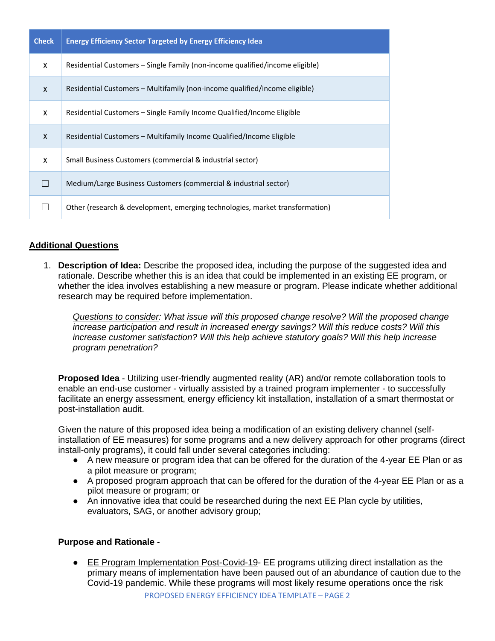| <b>Check</b> | <b>Energy Efficiency Sector Targeted by Energy Efficiency Idea</b>           |
|--------------|------------------------------------------------------------------------------|
| X            | Residential Customers – Single Family (non-income qualified/income eligible) |
| $\mathsf{x}$ | Residential Customers – Multifamily (non-income qualified/income eligible)   |
| X            | Residential Customers – Single Family Income Qualified/Income Eligible       |
| $\mathsf{x}$ | Residential Customers – Multifamily Income Qualified/Income Eligible         |
| X            | Small Business Customers (commercial & industrial sector)                    |
|              | Medium/Large Business Customers (commercial & industrial sector)             |
|              | Other (research & development, emerging technologies, market transformation) |

# **Additional Questions**

1. **Description of Idea:** Describe the proposed idea, including the purpose of the suggested idea and rationale. Describe whether this is an idea that could be implemented in an existing EE program, or whether the idea involves establishing a new measure or program. Please indicate whether additional research may be required before implementation.

*Questions to consider: What issue will this proposed change resolve? Will the proposed change increase participation and result in increased energy savings? Will this reduce costs? Will this increase customer satisfaction? Will this help achieve statutory goals? Will this help increase program penetration?* 

**Proposed Idea** - Utilizing user-friendly augmented reality (AR) and/or remote collaboration tools to enable an end-use customer - virtually assisted by a trained program implementer - to successfully facilitate an energy assessment, energy efficiency kit installation, installation of a smart thermostat or post-installation audit.

Given the nature of this proposed idea being a modification of an existing delivery channel (selfinstallation of EE measures) for some programs and a new delivery approach for other programs (direct install-only programs), it could fall under several categories including:

- A new measure or program idea that can be offered for the duration of the 4-year EE Plan or as a pilot measure or program;
- A proposed program approach that can be offered for the duration of the 4-year EE Plan or as a pilot measure or program; or
- An innovative idea that could be researched during the next EE Plan cycle by utilities, evaluators, SAG, or another advisory group;

#### **Purpose and Rationale** -

PROPOSED ENERGY EFFICIENCY IDEA TEMPLATE – PAGE 2 ● EE Program Implementation Post-Covid-19 - EE programs utilizing direct installation as the primary means of implementation have been paused out of an abundance of caution due to the Covid-19 pandemic. While these programs will most likely resume operations once the risk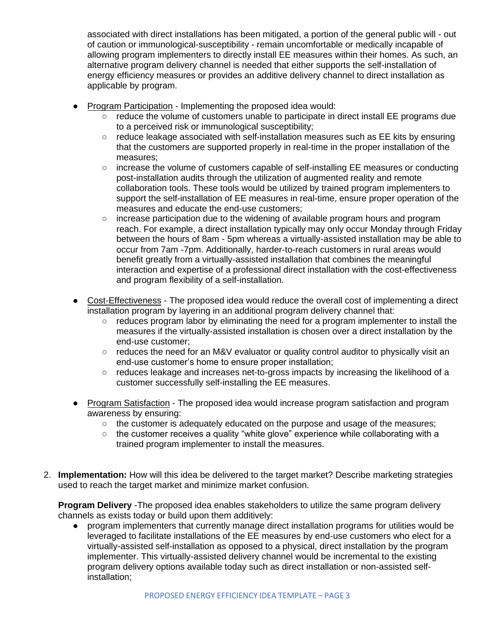associated with direct installations has been mitigated, a portion of the general public will - out of caution or immunological-susceptibility - remain uncomfortable or medically incapable of allowing program implementers to directly install EE measures within their homes. As such, an alternative program delivery channel is needed that either supports the self-installation of energy efficiency measures or provides an additive delivery channel to direct installation as applicable by program.

- Program Participation Implementing the proposed idea would:
	- reduce the volume of customers unable to participate in direct install EE programs due to a perceived risk or immunological susceptibility;
	- reduce leakage associated with self-installation measures such as EE kits by ensuring that the customers are supported properly in real-time in the proper installation of the measures;
	- increase the volume of customers capable of self-installing EE measures or conducting post-installation audits through the utilization of augmented reality and remote collaboration tools. These tools would be utilized by trained program implementers to support the self-installation of EE measures in real-time, ensure proper operation of the measures and educate the end-use customers;
	- increase participation due to the widening of available program hours and program reach. For example, a direct installation typically may only occur Monday through Friday between the hours of 8am - 5pm whereas a virtually-assisted installation may be able to occur from 7am -7pm. Additionally, harder-to-reach customers in rural areas would benefit greatly from a virtually-assisted installation that combines the meaningful interaction and expertise of a professional direct installation with the cost-effectiveness and program flexibility of a self-installation.
- Cost-Effectiveness The proposed idea would reduce the overall cost of implementing a direct installation program by layering in an additional program delivery channel that:
	- reduces program labor by eliminating the need for a program implementer to install the measures if the virtually-assisted installation is chosen over a direct installation by the end-use customer;
	- reduces the need for an M&V evaluator or quality control auditor to physically visit an end-use customer's home to ensure proper installation;
	- reduces leakage and increases net-to-gross impacts by increasing the likelihood of a customer successfully self-installing the EE measures.
- Program Satisfaction The proposed idea would increase program satisfaction and program awareness by ensuring:
	- the customer is adequately educated on the purpose and usage of the measures;
	- $\circ$  the customer receives a quality "white glove" experience while collaborating with a trained program implementer to install the measures.
- 2. **Implementation:** How will this idea be delivered to the target market? Describe marketing strategies used to reach the target market and minimize market confusion.

**Program Delivery** -The proposed idea enables stakeholders to utilize the same program delivery channels as exists today or build upon them additively:

program implementers that currently manage direct installation programs for utilities would be leveraged to facilitate installations of the EE measures by end-use customers who elect for a virtually-assisted self-installation as opposed to a physical, direct installation by the program implementer. This virtually-assisted delivery channel would be incremental to the existing program delivery options available today such as direct installation or non-assisted selfinstallation;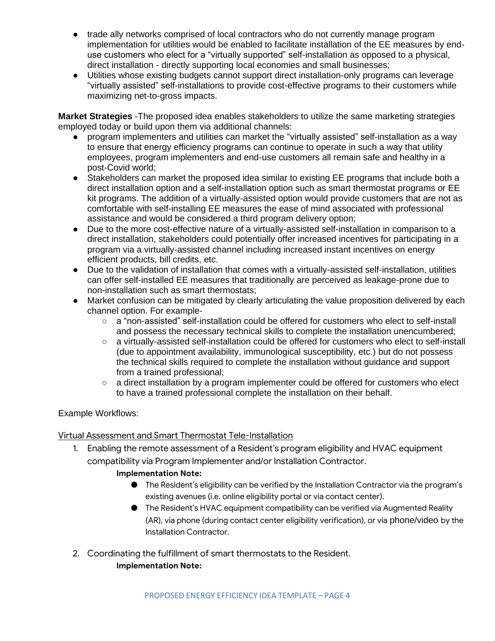- trade ally networks comprised of local contractors who do not currently manage program implementation for utilities would be enabled to facilitate installation of the EE measures by enduse customers who elect for a "virtually supported" self-installation as opposed to a physical, direct installation - directly supporting local economies and small businesses;
- Utilities whose existing budgets cannot support direct installation-only programs can leverage "virtually assisted" self-installations to provide cost-effective programs to their customers while maximizing net-to-gross impacts.

**Market Strategies** -The proposed idea enables stakeholders to utilize the same marketing strategies employed today or build upon them via additional channels:

- program implementers and utilities can market the "virtually assisted" self-installation as a way to ensure that energy efficiency programs can continue to operate in such a way that utility employees, program implementers and end-use customers all remain safe and healthy in a post-Covid world;
- Stakeholders can market the proposed idea similar to existing EE programs that include both a direct installation option and a self-installation option such as smart thermostat programs or EE kit programs. The addition of a virtually-assisted option would provide customers that are not as comfortable with self-installing EE measures the ease of mind associated with professional assistance and would be considered a third program delivery option;
- Due to the more cost-effective nature of a virtually-assisted self-installation in comparison to a direct installation, stakeholders could potentially offer increased incentives for participating in a program via a virtually-assisted channel including increased instant incentives on energy efficient products, bill credits, etc.
- Due to the validation of installation that comes with a virtually-assisted self-installation, utilities can offer self-installed EE measures that traditionally are perceived as leakage-prone due to non-installation such as smart thermostats;
- Market confusion can be mitigated by clearly articulating the value proposition delivered by each channel option. For example-
	- a "non-assisted" self-installation could be offered for customers who elect to self-install and possess the necessary technical skills to complete the installation unencumbered;
	- a virtually-assisted self-installation could be offered for customers who elect to self-install (due to appointment availability, immunological susceptibility, etc.) but do not possess the technical skills required to complete the installation without guidance and support from a trained professional;
	- $\circ$  a direct installation by a program implementer could be offered for customers who elect to have a trained professional complete the installation on their behalf.

# Example Workflows:

#### Virtual Assessment and Smart Thermostat Tele-Installation

1. Enabling the remote assessment of a Resident's program eligibility and HVAC equipment compatibility via Program Implementer and/or Installation Contractor.

#### **Implementation Note:**

- The Resident's eligibility can be verified by the Installation Contractor via the program's existing avenues (i.e. online eligibility portal or via contact center).
- The Resident's HVAC equipment compatibility can be verified via Augmented Reality (AR), via phone (during contact center eligibility verification), or via phone/video by the Installation Contractor.
- 2. Coordinating the fulfillment of smart thermostats to the Resident. **Implementation Note:**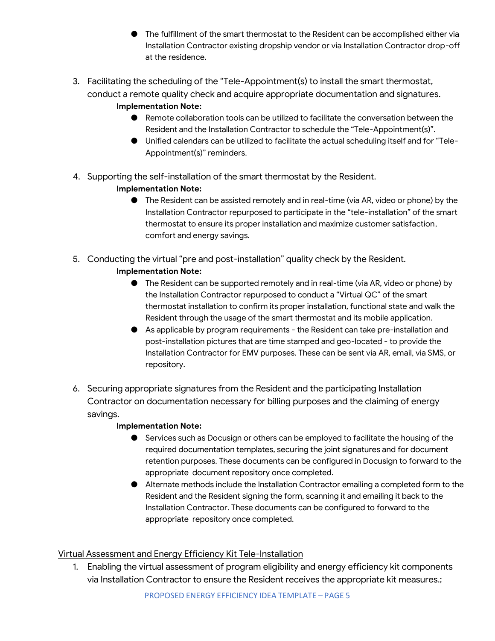- The fulfillment of the smart thermostat to the Resident can be accomplished either via Installation Contractor existing dropship vendor or via Installation Contractor drop-off at the residence.
- 3. Facilitating the scheduling of the "Tele-Appointment(s) to install the smart thermostat, conduct a remote quality check and acquire appropriate documentation and signatures.
	- **Implementation Note:** 
		- Remote collaboration tools can be utilized to facilitate the conversation between the Resident and the Installation Contractor to schedule the "Tele-Appointment(s)".
		- Unified calendars can be utilized to facilitate the actual scheduling itself and for "Tele-Appointment(s)" reminders.
- 4. Supporting the self-installation of the smart thermostat by the Resident.

# **Implementation Note:**

- The Resident can be assisted remotely and in real-time (via AR, video or phone) by the Installation Contractor repurposed to participate in the "tele-installation" of the smart thermostat to ensure its proper installation and maximize customer satisfaction, comfort and energy savings.
- 5. Conducting the virtual "pre and post-installation" quality check by the Resident. **Implementation Note:** 
	- The Resident can be supported remotely and in real-time (via AR, video or phone) by the Installation Contractor repurposed to conduct a "Virtual QC" of the smart thermostat installation to confirm its proper installation, functional state and walk the Resident through the usage of the smart thermostat and its mobile application.
	- As applicable by program requirements the Resident can take pre-installation and post-installation pictures that are time stamped and geo-located - to provide the Installation Contractor for EMV purposes. These can be sent via AR, email, via SMS, or repository.
- 6. Securing appropriate signatures from the Resident and the participating Installation Contractor on documentation necessary for billing purposes and the claiming of energy savings.

# **Implementation Note:**

- Services such as Docusign or others can be employed to facilitate the housing of the required documentation templates, securing the joint signatures and for document retention purposes. These documents can be configured in Docusign to forward to the appropriate document repository once completed.
- Alternate methods include the Installation Contractor emailing a completed form to the Resident and the Resident signing the form, scanning it and emailing it back to the Installation Contractor. These documents can be configured to forward to the appropriate repository once completed.

# Virtual Assessment and Energy Efficiency Kit Tele-Installation

1. Enabling the virtual assessment of program eligibility and energy efficiency kit components via Installation Contractor to ensure the Resident receives the appropriate kit measures.;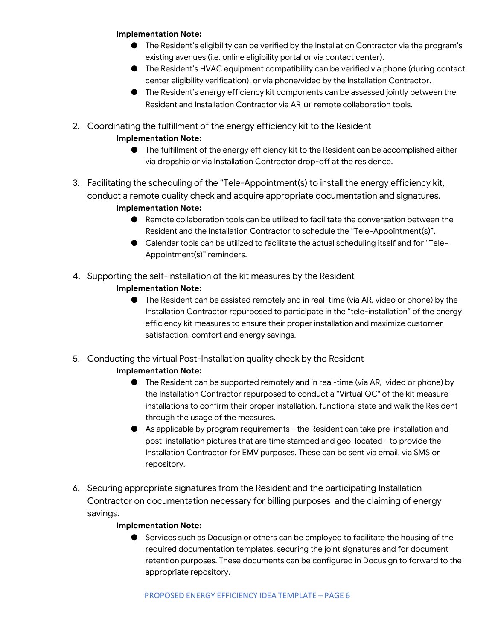#### **Implementation Note:**

- The Resident's eligibility can be verified by the Installation Contractor via the program's existing avenues (i.e. online eligibility portal or via contact center).
- The Resident's HVAC equipment compatibility can be verified via phone (during contact center eligibility verification), or via phone/video by the Installation Contractor.
- The Resident's energy efficiency kit components can be assessed jointly between the Resident and Installation Contractor via AR or remote collaboration tools.
- 2. Coordinating the fulfillment of the energy efficiency kit to the Resident **Implementation Note:** 
	- The fulfillment of the energy efficiency kit to the Resident can be accomplished either via dropship or via Installation Contractor drop-off at the residence.
- 3. Facilitating the scheduling of the "Tele-Appointment(s) to install the energy efficiency kit, conduct a remote quality check and acquire appropriate documentation and signatures. **Implementation Note:** 
	- Remote collaboration tools can be utilized to facilitate the conversation between the Resident and the Installation Contractor to schedule the "Tele-Appointment(s)".
	- Calendar tools can be utilized to facilitate the actual scheduling itself and for "Tele-Appointment(s)" reminders.
- 4. Supporting the self-installation of the kit measures by the Resident

# **Implementation Note:**

● The Resident can be assisted remotely and in real-time (via AR, video or phone) by the Installation Contractor repurposed to participate in the "tele-installation" of the energy efficiency kit measures to ensure their proper installation and maximize customer satisfaction, comfort and energy savings.

# 5. Conducting the virtual Post-Installation quality check by the Resident

# **Implementation Note:**

- The Resident can be supported remotely and in real-time (via AR, video or phone) by the Installation Contractor repurposed to conduct a "Virtual QC'' of the kit measure installations to confirm their proper installation, functional state and walk the Resident through the usage of the measures.
- As applicable by program requirements the Resident can take pre-installation and post-installation pictures that are time stamped and geo-located - to provide the Installation Contractor for EMV purposes. These can be sent via email, via SMS or repository.
- 6. Securing appropriate signatures from the Resident and the participating Installation Contractor on documentation necessary for billing purposes and the claiming of energy savings.

#### **Implementation Note:**

● Services such as Docusign or others can be employed to facilitate the housing of the required documentation templates, securing the joint signatures and for document retention purposes. These documents can be configured in Docusign to forward to the appropriate repository.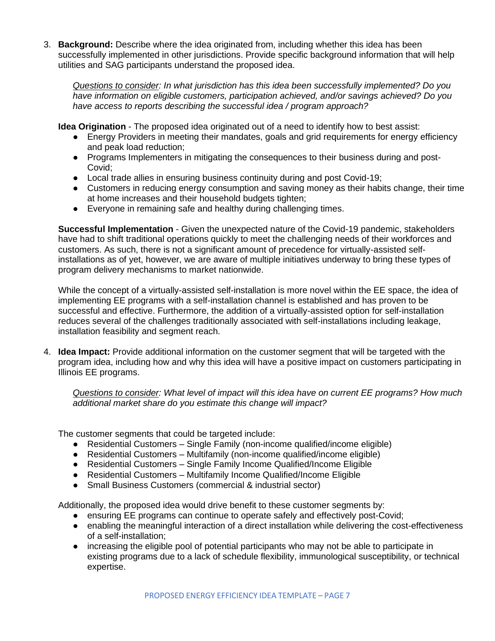3. **Background:** Describe where the idea originated from, including whether this idea has been successfully implemented in other jurisdictions. Provide specific background information that will help utilities and SAG participants understand the proposed idea.

*Questions to consider: In what jurisdiction has this idea been successfully implemented? Do you have information on eligible customers, participation achieved, and/or savings achieved? Do you have access to reports describing the successful idea / program approach?* 

**Idea Origination** - The proposed idea originated out of a need to identify how to best assist:

- Energy Providers in meeting their mandates, goals and grid requirements for energy efficiency and peak load reduction;
- Programs Implementers in mitigating the consequences to their business during and post-Covid;
- Local trade allies in ensuring business continuity during and post Covid-19;
- Customers in reducing energy consumption and saving money as their habits change, their time at home increases and their household budgets tighten;
- Everyone in remaining safe and healthy during challenging times.

**Successful Implementation** - Given the unexpected nature of the Covid-19 pandemic, stakeholders have had to shift traditional operations quickly to meet the challenging needs of their workforces and customers. As such, there is not a significant amount of precedence for virtually-assisted selfinstallations as of yet, however, we are aware of multiple initiatives underway to bring these types of program delivery mechanisms to market nationwide.

While the concept of a virtually-assisted self-installation is more novel within the EE space, the idea of implementing EE programs with a self-installation channel is established and has proven to be successful and effective. Furthermore, the addition of a virtually-assisted option for self-installation reduces several of the challenges traditionally associated with self-installations including leakage, installation feasibility and segment reach.

4. **Idea Impact:** Provide additional information on the customer segment that will be targeted with the program idea, including how and why this idea will have a positive impact on customers participating in Illinois EE programs.

*Questions to consider: What level of impact will this idea have on current EE programs? How much additional market share do you estimate this change will impact?*

The customer segments that could be targeted include:

- Residential Customers Single Family (non-income qualified/income eligible)
- Residential Customers Multifamily (non-income qualified/income eligible)
- Residential Customers Single Family Income Qualified/Income Eligible
- Residential Customers Multifamily Income Qualified/Income Eligible
- Small Business Customers (commercial & industrial sector)

Additionally, the proposed idea would drive benefit to these customer segments by:

- ensuring EE programs can continue to operate safely and effectively post-Covid;
- enabling the meaningful interaction of a direct installation while delivering the cost-effectiveness of a self-installation;
- increasing the eligible pool of potential participants who may not be able to participate in existing programs due to a lack of schedule flexibility, immunological susceptibility, or technical expertise.